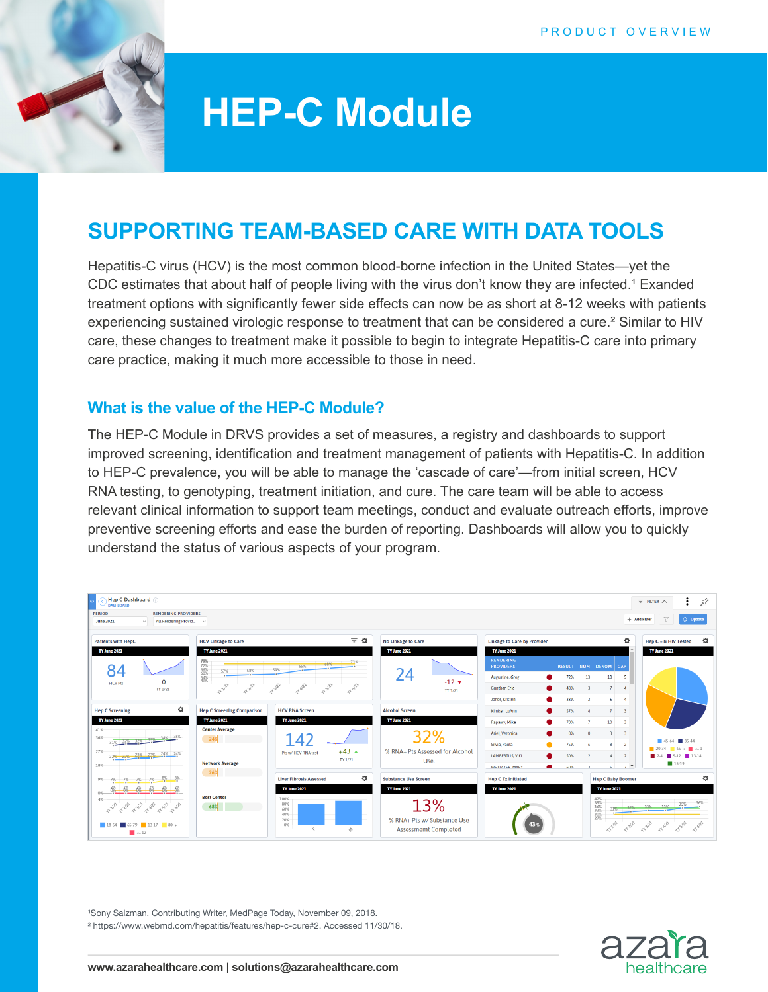

# **HEP-C Module**

# **SUPPORTING TEAM-BASED CARE WITH DATA TOOLS**

Hepatitis-C virus (HCV) is the most common blood-borne infection in the United States—yet the CDC estimates that about half of people living with the virus don't know they are infected.<sup>1</sup> Exanded treatment options with significantly fewer side effects can now be as short at 8-12 weeks with patients experiencing sustained virologic response to treatment that can be considered a cure.² Similar to HIV care, these changes to treatment make it possible to begin to integrate Hepatitis-C care into primary care practice, making it much more accessible to those in need.

### **What is the value of the HEP-C Module?**

The HEP-C Module in DRVS provides a set of measures, a registry and dashboards to support improved screening, identification and treatment management of patients with Hepatitis-C. In addition to HEP-C prevalence, you will be able to manage the 'cascade of care'—from initial screen, HCV RNA testing, to genotyping, treatment initiation, and cure. The care team will be able to access relevant clinical information to support team meetings, conduct and evaluate outreach efforts, improve preventive screening efforts and ease the burden of reporting. Dashboards will allow you to quickly understand the status of various aspects of your program.



<sup>1</sup>Sony Salzman, Contributing Writer, MedPage Today, November 09, 2018. ² https://www.webmd.com/hepatitis/features/hep-c-cure#2. Accessed 11/30/18.